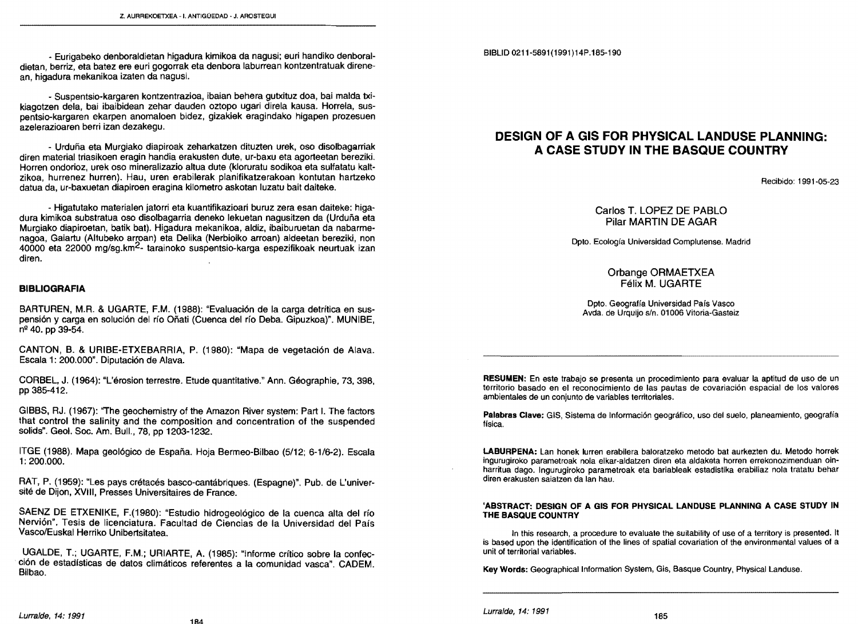# **DESIGN OF A GIS FOR PHYSICAL LANDUSE PLANNING: A CASE STUDY IN THE BASQUE COUNTRY**

Recibido: 1991-05-23

## Carlos T. LOPEZ DE PABLO Pilar MARTIN DE AGAR

OpIo. Ecología Universidad Complutense. Madrid

## Orbange ORMAETXEA Félix M. UGARTE

Opto. Geografía Universidad País Vasco Avda. de Urquíjo s/n. 01006 Vitoria-Gasteiz

RESUMEN: En este trabajo se presenta un procedimiento para evaluar la aptitud de uso de un territorio basado en el reconocimiento de las pautas de covaríacíón espacial de los valores ambientales de un conjunto de variables territoriales.

Palabras Clave: GIS, Sistema de Información geográfico, uso del suelo, planeamiento, geografía física.

**LABURPENA:** Lan honek lurren erabilera baloratzeko metodo bat aurkezten du. Metodo horrek ingurugiroko parametroak nola elkar-aldatzen diren eta aldaketa horren errekonozimenduan oinharritua dago. Ingurugiroko parametroak eta bariableak estadistika erabiliaz nola tratatu behar diren erakuslen saiatzen da lan hau.

#### 'ABSTRACT: DESIGN OF A GIS FOR PHYSICAL LANDUSE PLANNING A CASE STUDY IN THE BASQUE COUNTRY

In this research, a procedure to evaluate the suitability of use of a territory is presented. It is based upon the identification of the lines of spatial covariation of the environmental values of a uní! of territorial variables.

Key Words: Geographical Information System, Gis, Basque Country, Physical Landuse.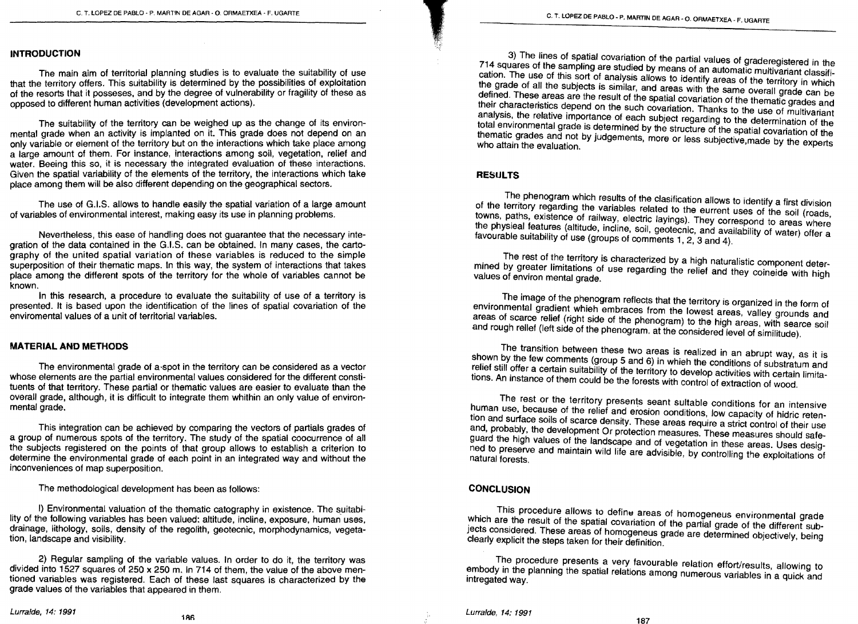#### **INTROOUCTION**

The main aim of territorial planning studies is to evaluate the suitability of use that the territory offers. This suitability is determined by the possibilities of exploitation of the resorts that it posseses, and by the degree of vulnerability or fragility of these as opposed to different human activities (development actions).

The suitability of the territory can be weighed up as the change of its environmental grade when an activity is implanted on it. This grade does not depend on an only variable or element of the territory but on the interactions which take place among a large amount oi them. For instance, interactions among soil, vegetation, relief and water. Beeing this so, it is necessary the integrated evaluation of these interactions. Given the spatial variability of the elements of the territory, the interactions which take place among them will be also different depending on the geographical sectors.

The use of G.I.S. allows to handle easily the spatial variation of a large amount of variables of environmental interest, making easy its use in planning problems.

Nevertheless, this ease of handling does not guarantee that the necessary integration of the data contained in the G.I.S. can be obtained. In many cases, the cartography of the united spatial variatíon of these variables is reduced to the simple superposition of their thematic maps. In this way, the system of interactions that takes place among the different spots of the territory for the whole of variables cannot be known.

In this research, a procedure to evaluate the suitability of use of a territory is presented. It is based upon the identification of the lines of spatial covariatíon oi the enviromental values of a unit of territorial variables.

#### **MATERIAL ANO METHOOS**

The environmental grade of a-spot in the territory can be considered as a vector whose elements are the partial environmental values considered ior the different constituents of that territory. These partíal or thematic values are easier to evaluate than the overall grade, although, it is difficult to integrate them whithin an only value oi environmental grade.

This integration can be achieved by comparing the vectors of partíais grades of a group oi numerous spots oi the territory. The study of the spatial coocurrence of all the subjects registered on the points of that group allows to establish a criterion to determine the environmental grade of each point in an integrated way and without the inconveniences of map superposition.

The methodological development has been as iollows:

1) Environmental valuation oi the thematic catography in existence. The suitability of the following variables has been valued: altitude, incline, exposure, human uses, drainage, lithology, soils, density of the regolith, geotecnic, morphodynamics, vegetation, landscape and visibility.

2) Regular sampling of the variable values. In order to do it, the territory was dívided into 1527 squares oi 250 x 250 m. In 714 oi them, the value of the aboye mentioned variables was registered. Each oi these last squares is characterized by the grade values of the variables that appeared in them.

3) The lines of spatial covariation of the partial values of graderegistered in the 714 squares of Ihe samplíng are studied by means of an automatic multivariant classification. The use of this sort of analysis allows to identify areas of the territory in which the grade of all the subjects is similar, and areas with the same overall grade can be deiined. These areas are the result of the spatial covariation of the thematic grades and their characteristics depend on the such covariation. Thanks to the use of multívariant analysis, the relative importance of each subject regarding to the determination of the total environmental grade is determined by the structure of the spatial covariation of the thematic grades and not by judgements, more or less subjective,made by the experts who attain the evaluation.

#### **RESULTS**

,

 $~\cdot$  ,

The phenogram which results of the clasification allows to identify a first division of the territory regarding the variables related to the eurrent uses of the soil (roads, towns, paths, existence of railway, electric layings). They correspond to areas where the physieal features (altitude, incline, soil, geotecnic, and availability of water) offer a favourable suitability of use (groups of comments 1, 2, 3 and 4).

The rest of the territory is characterized by a high naturalistic component determined by greater limitations of use regarding the relief and they coineide with high values of environ mental grade.

The image of the phenogram reflects that the territory is organized in the form of environmental gradient whieh embraces from the lowest areas, valley grounds and areas of scarce relief (right side of the phenogram) to the high areas, with searce soil and rough rellef (left side of the phenogram, at the considered level of similitude).

The transition between these two areas ís realized in an abrupt way, as it is shown by the few comments (group 5 and 6) in whieh the conditions of substratum and relief still offer a certain suitability of the territory to develop activities with certain limitations. An instance of them could be the forests with control of extraction of wood.

The rest or the territory presents seant sultable conditions ior an intensive human use, because of the relief and erosion oonditions, low capacity of hidric reten tion and surface soils of scarce density, These areas require a strict control oi their use and, probably, the development Or protection measures. These measures should safe guard the high values of the landscape and of vegetation in these areas. Uses desig ned to preserve and maintain wild life are advisible, by controlling the exploitations of natural forests,

#### **CONCLUSION**

This procedure allows to define areas of homogeneus environmental grade which are the result of the spatial covariation of the partial grade of the different subjects considered. These areas of homogeneus grade are determined objectively, being clearly explicit the steps taken for their definition.

The procedure presents a very favourable relation effort/results, allowing to embody in the planning the spatial relations among numerous variables in a quick and intregated way.

Lurralde, 14: 1991 186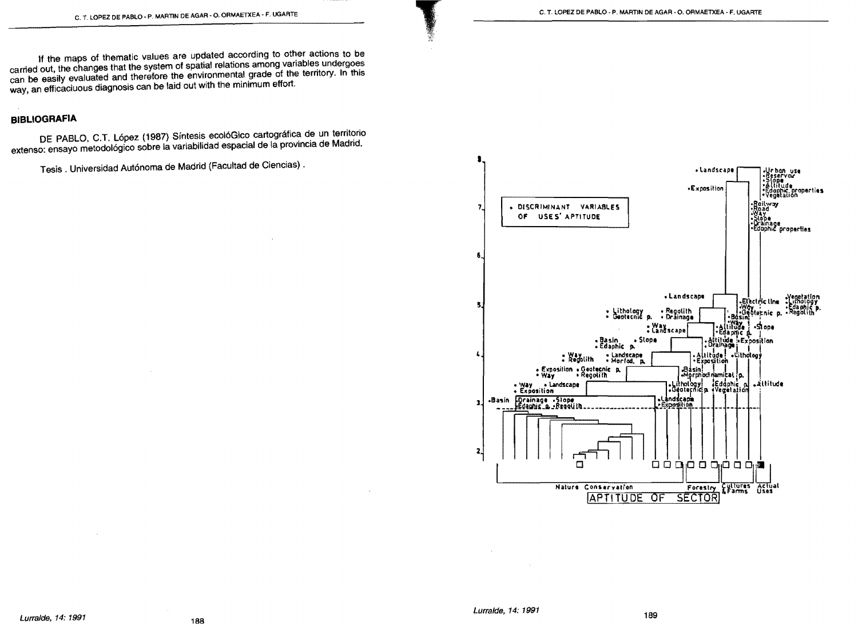If the maps of thematic values are updated according to other actions to be carried out, the changes that the system of spatial relations among variables undergoes can be easily evaluated and therefore the environmental grade of the territory. In this way, an efficaciuous diagnosis can be laid out with the minimum effort.

# **BIBLIOGRAFIA**

DE PABLO, C.T. López (1987) Síntesis ecolóGico cartográfica de un territorio extenso: ensayo metodológico sobre la variabilidad espacial de la provincia de Madrid.

Tesis . Universidad Autónoma de Madrid (Facultad de Ciencias).



189